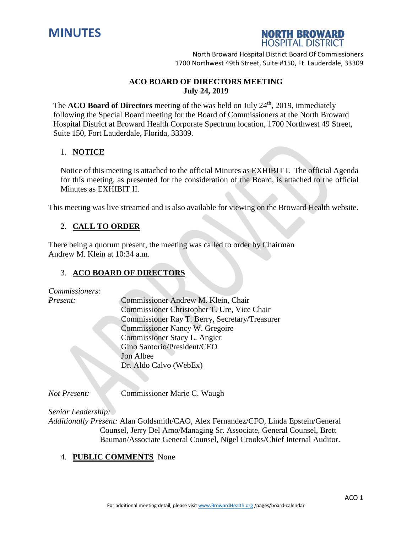



North Broward Hospital District Board Of Commissioners 1700 Northwest 49th Street, Suite #150, Ft. Lauderdale, 33309

### **ACO BOARD OF DIRECTORS MEETING July 24, 2019**

The **ACO** Board of Directors meeting of the was held on July 24<sup>th</sup>, 2019, immediately following the Special Board meeting for the Board of Commissioners at the North Broward Hospital District at Broward Health Corporate Spectrum location, 1700 Northwest 49 Street, Suite 150, Fort Lauderdale, Florida, 33309.

### 1. **NOTICE**

Notice of this meeting is attached to the official Minutes as EXHIBIT I. The official Agenda for this meeting, as presented for the consideration of the Board, is attached to the official Minutes as EXHIBIT II.

This meeting was live streamed and is also available for viewing on the Broward Health website.

# 2. **CALL TO ORDER**

There being a quorum present, the meeting was called to order by Chairman Andrew M. Klein at 10:34 a.m.

#### 3. **ACO BOARD OF DIRECTORS**

| Commissioner Christopher T. Ure, Vice Chair    |
|------------------------------------------------|
| Commissioner Ray T. Berry, Secretary/Treasurer |
|                                                |
|                                                |
|                                                |
|                                                |
|                                                |
|                                                |
|                                                |

*Not Present:* Commissioner Marie C. Waugh

*Senior Leadership:*

*Additionally Present:* Alan Goldsmith/CAO, Alex Fernandez/CFO, Linda Epstein/General Counsel, Jerry Del Amo/Managing Sr. Associate, General Counsel, Brett Bauman/Associate General Counsel, Nigel Crooks/Chief Internal Auditor.

#### 4. **PUBLIC COMMENTS** None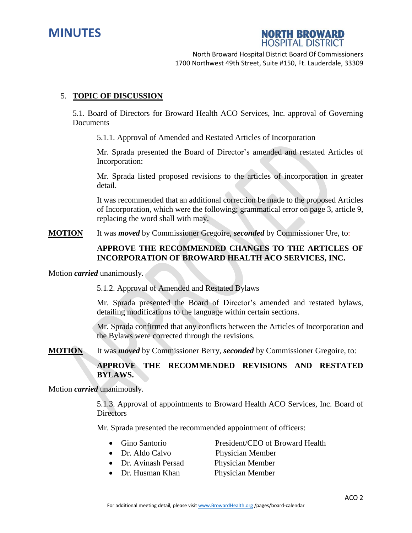



North Broward Hospital District Board Of Commissioners 1700 Northwest 49th Street, Suite #150, Ft. Lauderdale, 33309

#### 5. **TOPIC OF DISCUSSION**

5.1. Board of Directors for Broward Health ACO Services, Inc. approval of Governing **Documents** 

5.1.1. Approval of Amended and Restated Articles of Incorporation

Mr. Sprada presented the Board of Director's amended and restated Articles of Incorporation:

Mr. Sprada listed proposed revisions to the articles of incorporation in greater detail.

It was recommended that an additional correction be made to the proposed Articles of Incorporation, which were the following; grammatical error on page 3, article 9, replacing the word shall with may.

**MOTION** It was *moved* by Commissioner Gregoire, *seconded* by Commissioner Ure, to:

## **APPROVE THE RECOMMENDED CHANGES TO THE ARTICLES OF INCORPORATION OF BROWARD HEALTH ACO SERVICES, INC.**

Motion *carried* unanimously.

5.1.2. Approval of Amended and Restated Bylaws

Mr. Sprada presented the Board of Director's amended and restated bylaws, detailing modifications to the language within certain sections.

Mr. Sprada confirmed that any conflicts between the Articles of Incorporation and the Bylaws were corrected through the revisions.

**MOTION** It was *moved* by Commissioner Berry, *seconded* by Commissioner Gregoire, to:

## **APPROVE THE RECOMMENDED REVISIONS AND RESTATED BYLAWS.**

Motion *carried* unanimously.

5.1.3. Approval of appointments to Broward Health ACO Services, Inc. Board of **Directors** 

Mr. Sprada presented the recommended appointment of officers:

- Gino Santorio President/CEO of Broward Health
- Dr. Aldo Calvo Physician Member
	-
- Dr. Avinash Persad Physician Member
- Dr. Husman Khan Physician Member